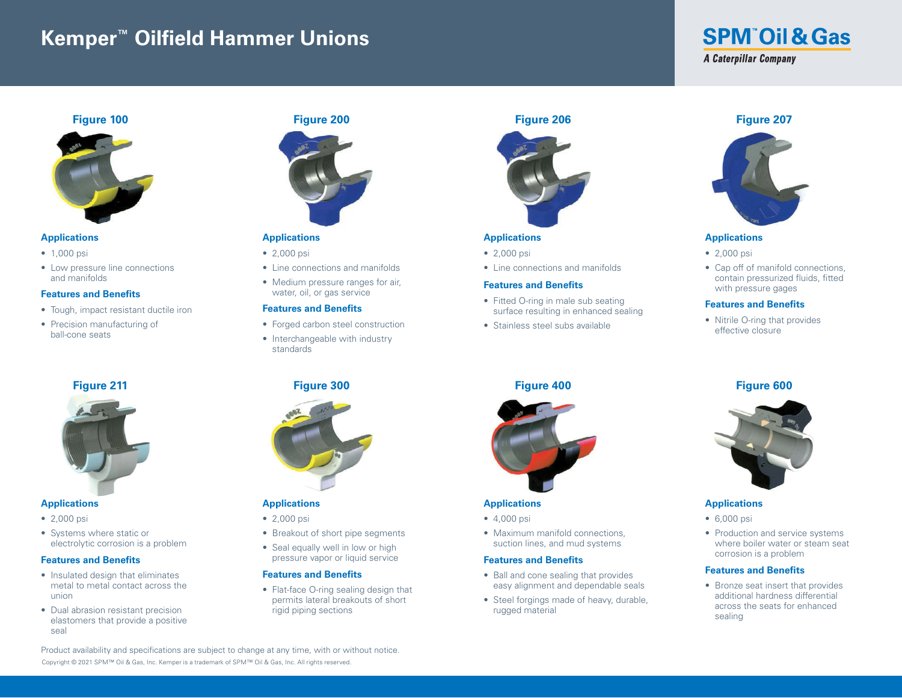# **Kemper™ Oilfield Hammer Unions**

# **SPM Oil & Gas A Caterpillar Company**



# **Applications**

- 1,000 psi
- Low pressure line connections and manifolds

#### **Features and Benefits**

- Tough, impact resistant ductile iron
- Precision manufacturing of ball-cone seats

# **Figure 211**



#### **Applications**

- 2,000 psi
- Systems where static or electrolytic corrosion is a problem

#### **Features and Benefits**

- Insulated design that eliminates metal to metal contact across the union
- Dual abrasion resistant precision elastomers that provide a positive seal

## **Figure 200**



# **Applications**

- 2,000 psi
- Line connections and manifolds
- Medium pressure ranges for air, water, oil, or gas service

#### **Features and Benefits**

- Forged carbon steel construction
- Interchangeable with industry standards

# **Figure 300**



### **Applications**

- 2,000 psi
- Breakout of short pipe segments
- Seal equally well in low or high pressure vapor or liquid service

#### **Features and Benefits**

• Flat-face O-ring sealing design that permits lateral breakouts of short rigid piping sections

# **Figure 206**



# **Applications**

- 2,000 psi
- Line connections and manifolds

#### **Features and Benefits**

- Fitted O-ring in male sub seating surface resulting in enhanced sealing
- Stainless steel subs available

# **Figure 400**



# **Applications**

- 4,000 psi
- Maximum manifold connections, suction lines, and mud systems

#### **Features and Benefits**

- Ball and cone sealing that provides easy alignment and dependable seals
- Steel forgings made of heavy, durable, rugged material

#### **Figure 207**



#### **Applications**

- 2,000 psi
- Cap off of manifold connections, contain pressurized fluids, fitted with pressure gages

#### **Features and Benefits**

• Nitrile O-ring that provides effective closure

# **Figure 600**



#### **Applications**

- 6,000 psi
- Production and service systems where boiler water or steam seat corrosion is a problem

#### **Features and Benefits**

• Bronze seat insert that provides additional hardness differential across the seats for enhanced sealing

Copyright © 2021 SPM™ Oil & Gas, Inc. Kemper is a trademark of SPM™ Oil & Gas, Inc. All rights reserved. Product availability and specifications are subject to change at any time, with or without notice.